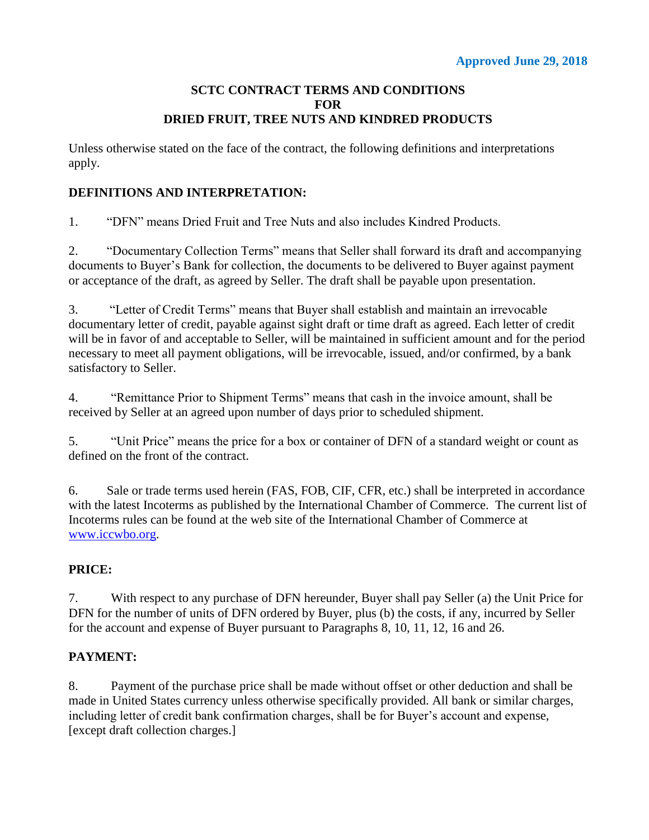#### **SCTC CONTRACT TERMS AND CONDITIONS FOR DRIED FRUIT, TREE NUTS AND KINDRED PRODUCTS**

Unless otherwise stated on the face of the contract, the following definitions and interpretations apply.

### **DEFINITIONS AND INTERPRETATION:**

1. "DFN" means Dried Fruit and Tree Nuts and also includes Kindred Products.

2. "Documentary Collection Terms" means that Seller shall forward its draft and accompanying documents to Buyer's Bank for collection, the documents to be delivered to Buyer against payment or acceptance of the draft, as agreed by Seller. The draft shall be payable upon presentation.

3. "Letter of Credit Terms" means that Buyer shall establish and maintain an irrevocable documentary letter of credit, payable against sight draft or time draft as agreed. Each letter of credit will be in favor of and acceptable to Seller, will be maintained in sufficient amount and for the period necessary to meet all payment obligations, will be irrevocable, issued, and/or confirmed, by a bank satisfactory to Seller.

4. "Remittance Prior to Shipment Terms" means that cash in the invoice amount, shall be received by Seller at an agreed upon number of days prior to scheduled shipment.

5. "Unit Price" means the price for a box or container of DFN of a standard weight or count as defined on the front of the contract.

6. Sale or trade terms used herein (FAS, FOB, CIF, CFR, etc.) shall be interpreted in accordance with the latest Incoterms as published by the International Chamber of Commerce. The current list of Incoterms rules can be found at the web site of the International Chamber of Commerce at [www.iccwbo.org.](http://www.iccwbo.org/)

## **PRICE:**

7. With respect to any purchase of DFN hereunder, Buyer shall pay Seller (a) the Unit Price for DFN for the number of units of DFN ordered by Buyer, plus (b) the costs, if any, incurred by Seller for the account and expense of Buyer pursuant to Paragraphs 8, 10, 11, 12, 16 and 26.

## **PAYMENT:**

8. Payment of the purchase price shall be made without offset or other deduction and shall be made in United States currency unless otherwise specifically provided. All bank or similar charges, including letter of credit bank confirmation charges, shall be for Buyer's account and expense, [except draft collection charges.]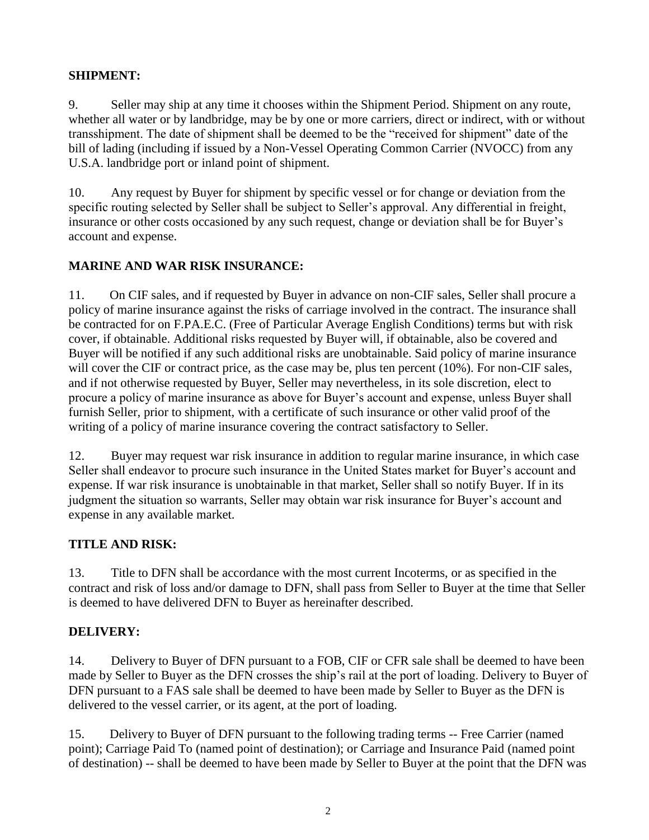### **SHIPMENT:**

9. Seller may ship at any time it chooses within the Shipment Period. Shipment on any route, whether all water or by landbridge, may be by one or more carriers, direct or indirect, with or without transshipment. The date of shipment shall be deemed to be the "received for shipment" date of the bill of lading (including if issued by a Non-Vessel Operating Common Carrier (NVOCC) from any U.S.A. landbridge port or inland point of shipment.

10. Any request by Buyer for shipment by specific vessel or for change or deviation from the specific routing selected by Seller shall be subject to Seller's approval. Any differential in freight, insurance or other costs occasioned by any such request, change or deviation shall be for Buyer's account and expense.

### **MARINE AND WAR RISK INSURANCE:**

11. On CIF sales, and if requested by Buyer in advance on non-CIF sales, Seller shall procure a policy of marine insurance against the risks of carriage involved in the contract. The insurance shall be contracted for on F.PA.E.C. (Free of Particular Average English Conditions) terms but with risk cover, if obtainable. Additional risks requested by Buyer will, if obtainable, also be covered and Buyer will be notified if any such additional risks are unobtainable. Said policy of marine insurance will cover the CIF or contract price, as the case may be, plus ten percent (10%). For non-CIF sales, and if not otherwise requested by Buyer, Seller may nevertheless, in its sole discretion, elect to procure a policy of marine insurance as above for Buyer's account and expense, unless Buyer shall furnish Seller, prior to shipment, with a certificate of such insurance or other valid proof of the writing of a policy of marine insurance covering the contract satisfactory to Seller.

12. Buyer may request war risk insurance in addition to regular marine insurance, in which case Seller shall endeavor to procure such insurance in the United States market for Buyer's account and expense. If war risk insurance is unobtainable in that market, Seller shall so notify Buyer. If in its judgment the situation so warrants, Seller may obtain war risk insurance for Buyer's account and expense in any available market.

#### **TITLE AND RISK:**

13. Title to DFN shall be accordance with the most current Incoterms, or as specified in the contract and risk of loss and/or damage to DFN, shall pass from Seller to Buyer at the time that Seller is deemed to have delivered DFN to Buyer as hereinafter described.

#### **DELIVERY:**

14. Delivery to Buyer of DFN pursuant to a FOB, CIF or CFR sale shall be deemed to have been made by Seller to Buyer as the DFN crosses the ship's rail at the port of loading. Delivery to Buyer of DFN pursuant to a FAS sale shall be deemed to have been made by Seller to Buyer as the DFN is delivered to the vessel carrier, or its agent, at the port of loading.

15. Delivery to Buyer of DFN pursuant to the following trading terms -- Free Carrier (named point); Carriage Paid To (named point of destination); or Carriage and Insurance Paid (named point of destination) -- shall be deemed to have been made by Seller to Buyer at the point that the DFN was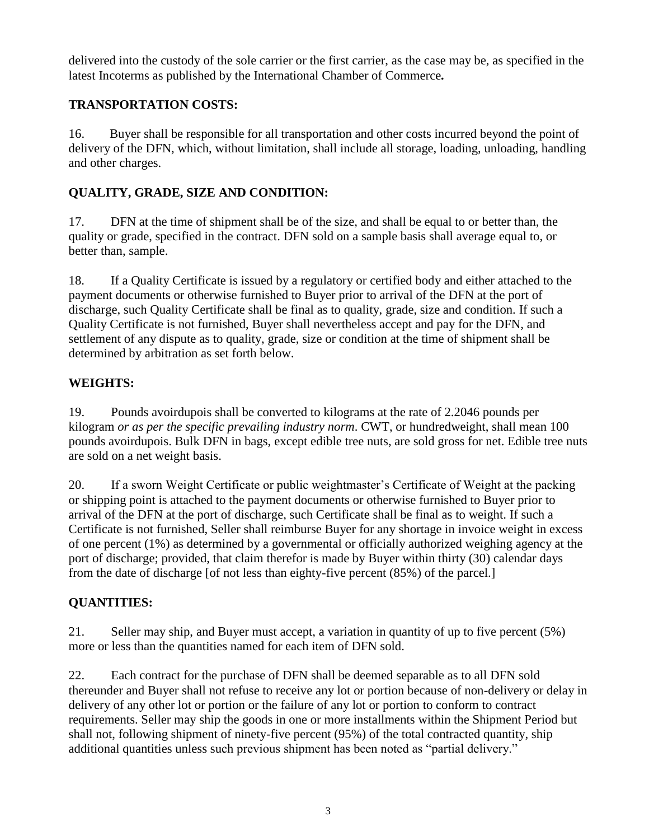delivered into the custody of the sole carrier or the first carrier, as the case may be, as specified in the latest Incoterms as published by the International Chamber of Commerce*.*

# **TRANSPORTATION COSTS:**

16. Buyer shall be responsible for all transportation and other costs incurred beyond the point of delivery of the DFN, which, without limitation, shall include all storage, loading, unloading, handling and other charges.

# **QUALITY, GRADE, SIZE AND CONDITION:**

17. DFN at the time of shipment shall be of the size, and shall be equal to or better than, the quality or grade, specified in the contract. DFN sold on a sample basis shall average equal to, or better than, sample.

18. If a Quality Certificate is issued by a regulatory or certified body and either attached to the payment documents or otherwise furnished to Buyer prior to arrival of the DFN at the port of discharge, such Quality Certificate shall be final as to quality, grade, size and condition. If such a Quality Certificate is not furnished, Buyer shall nevertheless accept and pay for the DFN, and settlement of any dispute as to quality, grade, size or condition at the time of shipment shall be determined by arbitration as set forth below.

# **WEIGHTS:**

19. Pounds avoirdupois shall be converted to kilograms at the rate of 2.2046 pounds per kilogram *or as per the specific prevailing industry norm*. CWT, or hundredweight, shall mean 100 pounds avoirdupois. Bulk DFN in bags, except edible tree nuts, are sold gross for net. Edible tree nuts are sold on a net weight basis.

20. If a sworn Weight Certificate or public weightmaster's Certificate of Weight at the packing or shipping point is attached to the payment documents or otherwise furnished to Buyer prior to arrival of the DFN at the port of discharge, such Certificate shall be final as to weight. If such a Certificate is not furnished, Seller shall reimburse Buyer for any shortage in invoice weight in excess of one percent (1%) as determined by a governmental or officially authorized weighing agency at the port of discharge; provided, that claim therefor is made by Buyer within thirty (30) calendar days from the date of discharge [of not less than eighty-five percent (85%) of the parcel.]

# **QUANTITIES:**

21. Seller may ship, and Buyer must accept, a variation in quantity of up to five percent (5%) more or less than the quantities named for each item of DFN sold.

22. Each contract for the purchase of DFN shall be deemed separable as to all DFN sold thereunder and Buyer shall not refuse to receive any lot or portion because of non-delivery or delay in delivery of any other lot or portion or the failure of any lot or portion to conform to contract requirements. Seller may ship the goods in one or more installments within the Shipment Period but shall not, following shipment of ninety-five percent (95%) of the total contracted quantity, ship additional quantities unless such previous shipment has been noted as "partial delivery."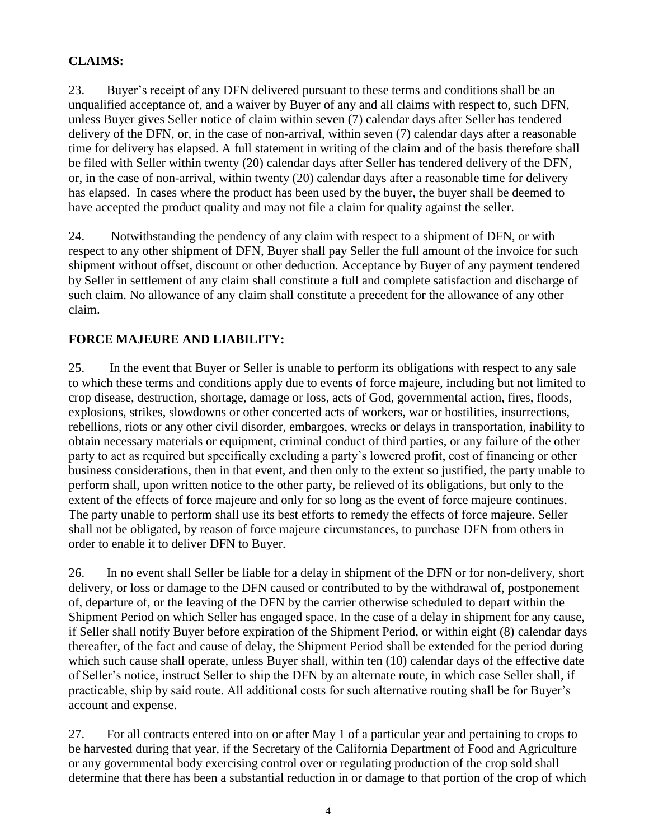# **CLAIMS:**

23. Buyer's receipt of any DFN delivered pursuant to these terms and conditions shall be an unqualified acceptance of, and a waiver by Buyer of any and all claims with respect to, such DFN, unless Buyer gives Seller notice of claim within seven (7) calendar days after Seller has tendered delivery of the DFN, or, in the case of non-arrival, within seven (7) calendar days after a reasonable time for delivery has elapsed. A full statement in writing of the claim and of the basis therefore shall be filed with Seller within twenty (20) calendar days after Seller has tendered delivery of the DFN, or, in the case of non-arrival, within twenty (20) calendar days after a reasonable time for delivery has elapsed. In cases where the product has been used by the buyer, the buyer shall be deemed to have accepted the product quality and may not file a claim for quality against the seller.

24. Notwithstanding the pendency of any claim with respect to a shipment of DFN, or with respect to any other shipment of DFN, Buyer shall pay Seller the full amount of the invoice for such shipment without offset, discount or other deduction. Acceptance by Buyer of any payment tendered by Seller in settlement of any claim shall constitute a full and complete satisfaction and discharge of such claim. No allowance of any claim shall constitute a precedent for the allowance of any other claim.

## **FORCE MAJEURE AND LIABILITY:**

25. In the event that Buyer or Seller is unable to perform its obligations with respect to any sale to which these terms and conditions apply due to events of force majeure, including but not limited to crop disease, destruction, shortage, damage or loss, acts of God, governmental action, fires, floods, explosions, strikes, slowdowns or other concerted acts of workers, war or hostilities, insurrections, rebellions, riots or any other civil disorder, embargoes, wrecks or delays in transportation, inability to obtain necessary materials or equipment, criminal conduct of third parties, or any failure of the other party to act as required but specifically excluding a party's lowered profit, cost of financing or other business considerations, then in that event, and then only to the extent so justified, the party unable to perform shall, upon written notice to the other party, be relieved of its obligations, but only to the extent of the effects of force majeure and only for so long as the event of force majeure continues. The party unable to perform shall use its best efforts to remedy the effects of force majeure. Seller shall not be obligated, by reason of force majeure circumstances, to purchase DFN from others in order to enable it to deliver DFN to Buyer.

26. In no event shall Seller be liable for a delay in shipment of the DFN or for non-delivery, short delivery, or loss or damage to the DFN caused or contributed to by the withdrawal of, postponement of, departure of, or the leaving of the DFN by the carrier otherwise scheduled to depart within the Shipment Period on which Seller has engaged space. In the case of a delay in shipment for any cause, if Seller shall notify Buyer before expiration of the Shipment Period, or within eight (8) calendar days thereafter, of the fact and cause of delay, the Shipment Period shall be extended for the period during which such cause shall operate, unless Buyer shall, within ten (10) calendar days of the effective date of Seller's notice, instruct Seller to ship the DFN by an alternate route, in which case Seller shall, if practicable, ship by said route. All additional costs for such alternative routing shall be for Buyer's account and expense.

27. For all contracts entered into on or after May 1 of a particular year and pertaining to crops to be harvested during that year, if the Secretary of the California Department of Food and Agriculture or any governmental body exercising control over or regulating production of the crop sold shall determine that there has been a substantial reduction in or damage to that portion of the crop of which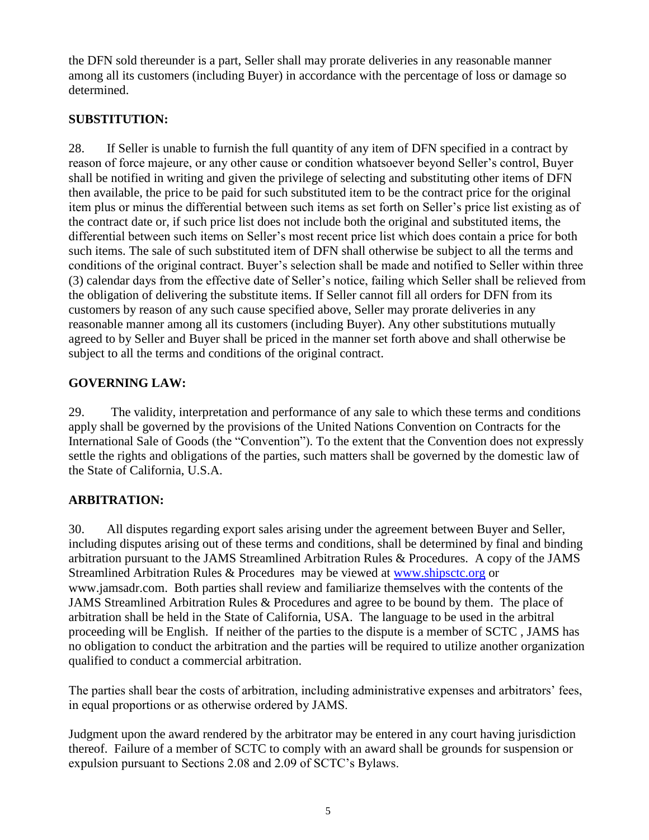the DFN sold thereunder is a part, Seller shall may prorate deliveries in any reasonable manner among all its customers (including Buyer) in accordance with the percentage of loss or damage so determined.

# **SUBSTITUTION:**

28. If Seller is unable to furnish the full quantity of any item of DFN specified in a contract by reason of force majeure, or any other cause or condition whatsoever beyond Seller's control, Buyer shall be notified in writing and given the privilege of selecting and substituting other items of DFN then available, the price to be paid for such substituted item to be the contract price for the original item plus or minus the differential between such items as set forth on Seller's price list existing as of the contract date or, if such price list does not include both the original and substituted items, the differential between such items on Seller's most recent price list which does contain a price for both such items. The sale of such substituted item of DFN shall otherwise be subject to all the terms and conditions of the original contract. Buyer's selection shall be made and notified to Seller within three (3) calendar days from the effective date of Seller's notice, failing which Seller shall be relieved from the obligation of delivering the substitute items. If Seller cannot fill all orders for DFN from its customers by reason of any such cause specified above, Seller may prorate deliveries in any reasonable manner among all its customers (including Buyer). Any other substitutions mutually agreed to by Seller and Buyer shall be priced in the manner set forth above and shall otherwise be subject to all the terms and conditions of the original contract.

## **GOVERNING LAW:**

29. The validity, interpretation and performance of any sale to which these terms and conditions apply shall be governed by the provisions of the United Nations Convention on Contracts for the International Sale of Goods (the "Convention"). To the extent that the Convention does not expressly settle the rights and obligations of the parties, such matters shall be governed by the domestic law of the State of California, U.S.A.

## **ARBITRATION:**

30. All disputes regarding export sales arising under the agreement between Buyer and Seller, including disputes arising out of these terms and conditions, shall be determined by final and binding arbitration pursuant to the JAMS Streamlined Arbitration Rules & Procedures. A copy of the JAMS Streamlined Arbitration Rules & Procedures may be viewed at [www.shipsctc.org](http://www.shipsctc.org/) or www.jamsadr.com. Both parties shall review and familiarize themselves with the contents of the JAMS Streamlined Arbitration Rules & Procedures and agree to be bound by them. The place of arbitration shall be held in the State of California, USA. The language to be used in the arbitral proceeding will be English. If neither of the parties to the dispute is a member of SCTC , JAMS has no obligation to conduct the arbitration and the parties will be required to utilize another organization qualified to conduct a commercial arbitration.

The parties shall bear the costs of arbitration, including administrative expenses and arbitrators' fees, in equal proportions or as otherwise ordered by JAMS.

Judgment upon the award rendered by the arbitrator may be entered in any court having jurisdiction thereof. Failure of a member of SCTC to comply with an award shall be grounds for suspension or expulsion pursuant to Sections 2.08 and 2.09 of SCTC's Bylaws.